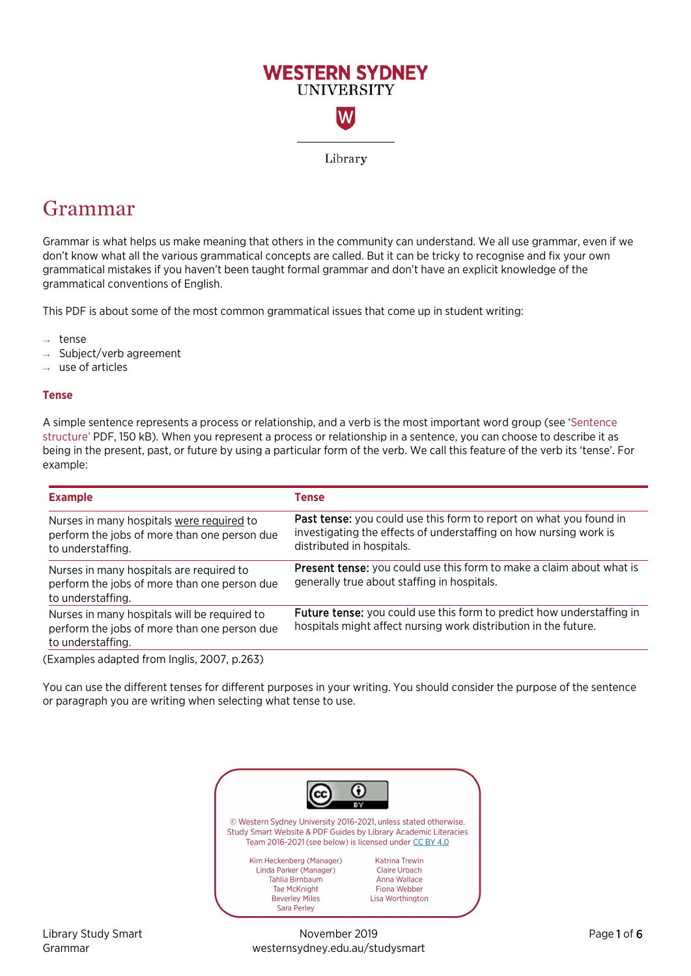

# Grammar

Grammar is what helps us make meaning that others in the community can understand. We all use grammar, even if we don't know what all the various grammatical concepts are called. But it can be tricky to recognise and fix your own grammatical mistakes if you haven't been taught formal grammar and don't have an explicit knowledge of the grammatical conventions of English.

This PDF is about some of the most common grammatical issues that come up in student writing:

- → tense
- Subject/verb agreement
- use of articles

## **Tense**

A simple sentence represents a process or relationship, and a verb is the most important word group (see ['Sentence](https://westernsydney.edu.au/__data/assets/pdf_file/0004/1082794/Sentence_Structure.pdf) [structure'](https://westernsydney.edu.au/__data/assets/pdf_file/0004/1082794/Sentence_Structure.pdf) PDF, 150 kB). When you represent a process or relationship in a sentence, you can choose to describe it as being in the present, past, or future by using a particular form of the verb. We call this feature of the verb its 'tense'. For example:

| <b>Tense</b>                                                                                                                                                         |
|----------------------------------------------------------------------------------------------------------------------------------------------------------------------|
| Past tense: you could use this form to report on what you found in<br>investigating the effects of understaffing on how nursing work is<br>distributed in hospitals. |
| Present tense: you could use this form to make a claim about what is<br>generally true about staffing in hospitals.                                                  |
| <b>Future tense:</b> you could use this form to predict how understaffing in<br>hospitals might affect nursing work distribution in the future.                      |
|                                                                                                                                                                      |

You can use the different tenses for different purposes in your writing. You should consider the purpose of the sentence or paragraph you are writing when selecting what tense to use.



Library Study Smart November 2019 Page 1 of 6 Grammar westernsydney.edu.au/studysmart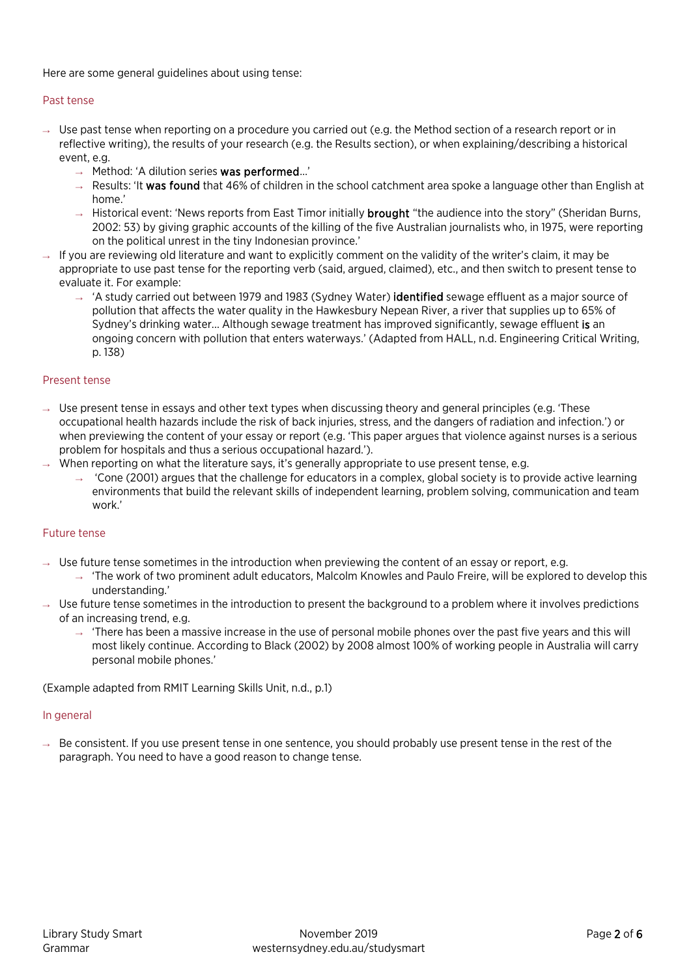Here are some general guidelines about using tense:

## Past tense

- $\rightarrow$  Use past tense when reporting on a procedure you carried out (e.g. the Method section of a research report or in reflective writing), the results of your research (e.g. the Results section), or when explaining/describing a historical event, e.g.
	- $\rightarrow$  Method: 'A dilution series was performed...'
	- $\rightarrow$  Results: 'It was found that 46% of children in the school catchment area spoke a language other than English at home.'
	- $\rightarrow$  Historical event: 'News reports from East Timor initially **brought** "the audience into the story" (Sheridan Burns, 2002: 53) by giving graphic accounts of the killing of the five Australian journalists who, in 1975, were reporting on the political unrest in the tiny Indonesian province.'
- $\rightarrow$  If you are reviewing old literature and want to explicitly comment on the validity of the writer's claim, it may be appropriate to use past tense for the reporting verb (said, argued, claimed), etc., and then switch to present tense to evaluate it. For example:
	- → 'A study carried out between 1979 and 1983 (Sydney Water) identified sewage effluent as a major source of pollution that affects the water quality in the Hawkesbury Nepean River, a river that supplies up to 65% of Sydney's drinking water... Although sewage treatment has improved significantly, sewage effluent is an ongoing concern with pollution that enters waterways.' (Adapted from HALL, n.d. Engineering Critical Writing, p. 138)

## Present tense

- $\rightarrow$  Use present tense in essays and other text types when discussing theory and general principles (e.g. 'These occupational health hazards include the risk of back injuries, stress, and the dangers of radiation and infection.') or when previewing the content of your essay or report (e.g. 'This paper argues that violence against nurses is a serious problem for hospitals and thus a serious occupational hazard.').
- $\rightarrow$  When reporting on what the literature says, it's generally appropriate to use present tense, e.g.
	- → 'Cone (2001) argues that the challenge for educators in a complex, global society is to provide active learning environments that build the relevant skills of independent learning, problem solving, communication and team work.'

## Future tense

- $\rightarrow$  Use future tense sometimes in the introduction when previewing the content of an essay or report, e.g.
	- → 'The work of two prominent adult educators, Malcolm Knowles and Paulo Freire, will be explored to develop this understanding.'
- $\rightarrow$  Use future tense sometimes in the introduction to present the background to a problem where it involves predictions of an increasing trend, e.g.
	- $\rightarrow$  'There has been a massive increase in the use of personal mobile phones over the past five years and this will most likely continue. According to Black (2002) by 2008 almost 100% of working people in Australia will carry personal mobile phones.'

(Example adapted from RMIT Learning Skills Unit, n.d., p.1)

#### In general

 $\rightarrow$  Be consistent. If you use present tense in one sentence, you should probably use present tense in the rest of the paragraph. You need to have a good reason to change tense.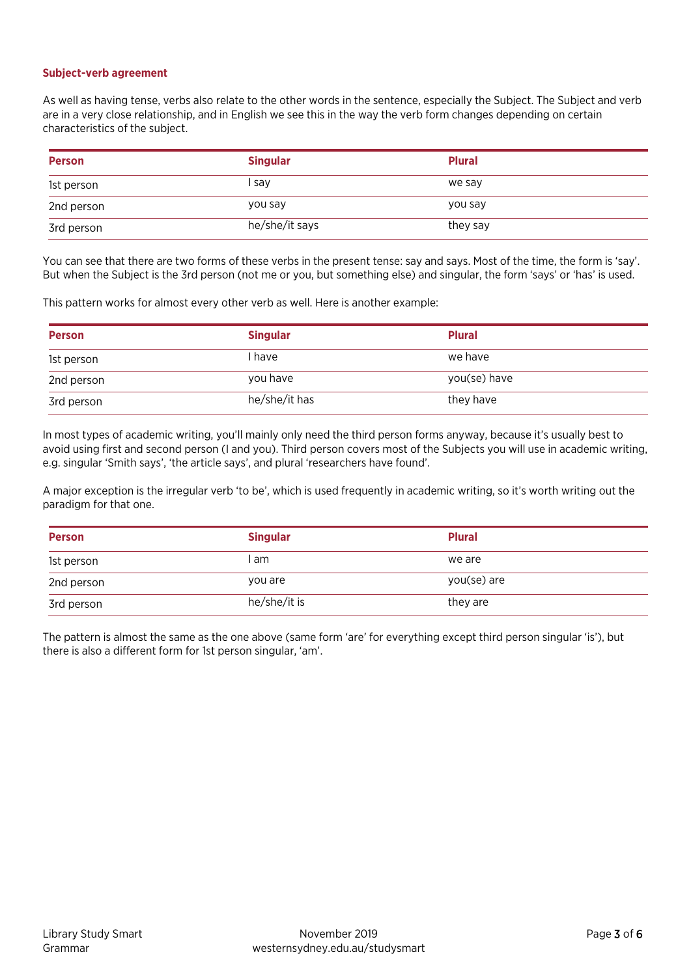#### **Subject-verb agreement**

As well as having tense, verbs also relate to the other words in the sentence, especially the Subject. The Subject and verb are in a very close relationship, and in English we see this in the way the verb form changes depending on certain characteristics of the subject.

| <b>Person</b> | <b>Singular</b> | <b>Plural</b> |
|---------------|-----------------|---------------|
| 1st person    | l sav           | we say        |
| 2nd person    | you say         | you say       |
| 3rd person    | he/she/it says  | they say      |

You can see that there are two forms of these verbs in the present tense: say and says. Most of the time, the form is 'say'. But when the Subject is the 3rd person (not me or you, but something else) and singular, the form 'says' or 'has' is used.

This pattern works for almost every other verb as well. Here is another example:

| <b>Person</b> | <b>Singular</b> | <b>Plural</b> |
|---------------|-----------------|---------------|
| 1st person    | I have          | we have       |
| 2nd person    | you have        | you(se) have  |
| 3rd person    | he/she/it has   | they have     |

In most types of academic writing, you'll mainly only need the third person forms anyway, because it's usually best to avoid using first and second person (I and you). Third person covers most of the Subjects you will use in academic writing, e.g. singular 'Smith says', 'the article says', and plural 'researchers have found'.

A major exception is the irregular verb 'to be', which is used frequently in academic writing, so it's worth writing out the paradigm for that one.

| <b>Person</b> | <b>Singular</b> | <b>Plural</b> |
|---------------|-----------------|---------------|
| 1st person    | I am            | we are        |
| 2nd person    | you are         | you(se) are   |
| 3rd person    | he/she/it is    | they are      |

The pattern is almost the same as the one above (same form 'are' for everything except third person singular 'is'), but there is also a different form for 1st person singular, 'am'.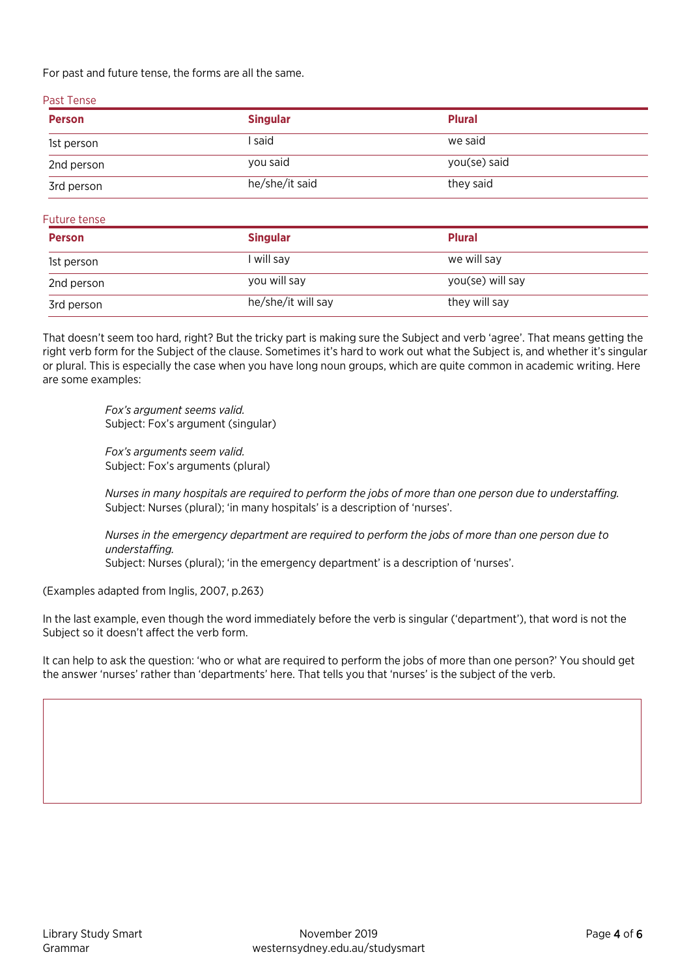For past and future tense, the forms are all the same.

| Past Tense    |                 |               |  |
|---------------|-----------------|---------------|--|
| <b>Person</b> | <b>Singular</b> | <b>Plural</b> |  |
| 1st person    | l said          | we said       |  |
| 2nd person    | you said        | you(se) said  |  |
| 3rd person    | he/she/it said  | they said     |  |

Future tense

| <b>Person</b> | <b>Singular</b>    | <b>Plural</b>    |
|---------------|--------------------|------------------|
| 1st person    | I will say         | we will say      |
| 2nd person    | you will say       | you(se) will say |
| 3rd person    | he/she/it will say | they will say    |

That doesn't seem too hard, right? But the tricky part is making sure the Subject and verb 'agree'. That means getting the right verb form for the Subject of the clause. Sometimes it's hard to work out what the Subject is, and whether it's singular or plural. This is especially the case when you have long noun groups, which are quite common in academic writing. Here are some examples:

> *Fox's argument seems valid.* Subject: Fox's argument (singular)

*Fox's arguments seem valid.* Subject: Fox's arguments (plural)

*Nurses in many hospitals are required to perform the jobs of more than one person due to understaffing.* Subject: Nurses (plural); 'in many hospitals' is a description of 'nurses'.

*Nurses in the emergency department are required to perform the jobs of more than one person due to understaffing.* Subject: Nurses (plural); 'in the emergency department' is a description of 'nurses'.

(Examples adapted from Inglis, 2007, p.263)

In the last example, even though the word immediately before the verb is singular ('department'), that word is not the Subject so it doesn't affect the verb form.

It can help to ask the question: 'who or what are required to perform the jobs of more than one person?' You should get the answer 'nurses' rather than 'departments' here. That tells you that 'nurses' is the subject of the verb.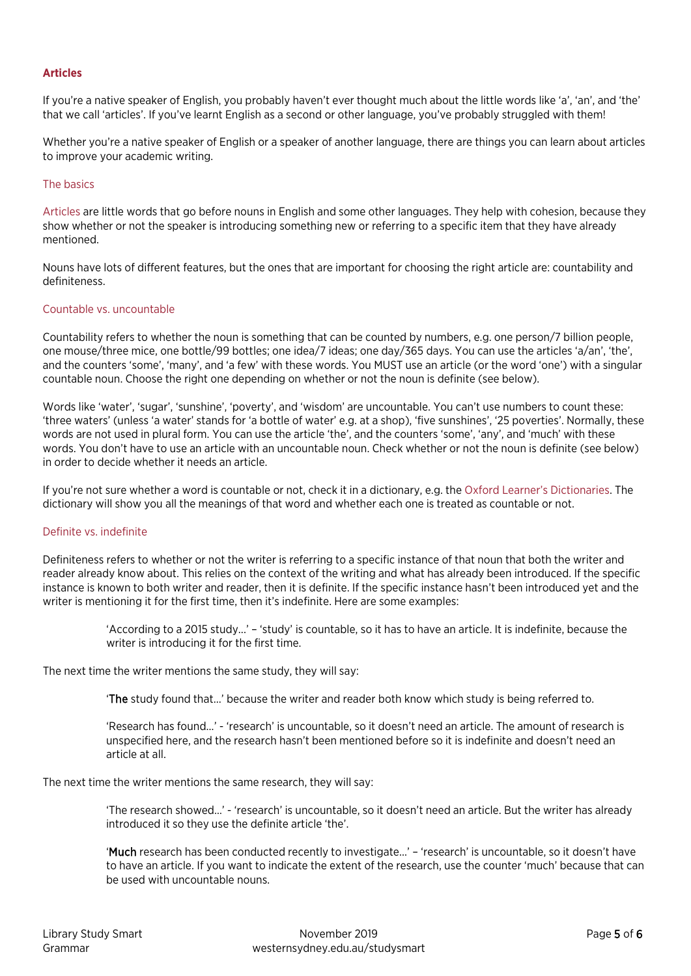# **Articles**

If you're a native speaker of English, you probably haven't ever thought much about the little words like 'a', 'an', and 'the' that we call 'articles'. If you've learnt English as a second or other language, you've probably struggled with them!

Whether you're a native speaker of English or a speaker of another language, there are things you can learn about articles to improve your academic writing.

## The basics

[Articles](http://www.grammarly.com/handbook/grammar/articles/) are little words that go before nouns in English and some other languages. They help with cohesion, because they show whether or not the speaker is introducing something new or referring to a specific item that they have already mentioned.

Nouns have lots of different features, but the ones that are important for choosing the right article are: countability and definiteness.

## Countable vs. uncountable

Countability refers to whether the noun is something that can be counted by numbers, e.g. one person/7 billion people, one mouse/three mice, one bottle/99 bottles; one idea/7 ideas; one day/365 days. You can use the articles 'a/an', 'the', and the counters 'some', 'many', and 'a few' with these words. You MUST use an article (or the word 'one') with a singular countable noun. Choose the right one depending on whether or not the noun is definite (see below).

Words like 'water', 'sugar', 'sunshine', 'poverty', and 'wisdom' are uncountable. You can't use numbers to count these: 'three waters' (unless 'a water' stands for 'a bottle of water' e.g. at a shop), 'five sunshines', '25 poverties'. Normally, these words are not used in plural form. You can use the article 'the', and the counters 'some', 'any', and 'much' with these words. You don't have to use an article with an uncountable noun. Check whether or not the noun is definite (see below) in order to decide whether it needs an article.

If you're not sure whether a word is countable or not, check it in a dictionary, e.g. th[e Oxford Learner's Dictionaries.](http://www.oxfordlearnersdictionaries.com/) The dictionary will show you all the meanings of that word and whether each one is treated as countable or not.

## Definite vs. indefinite

Definiteness refers to whether or not the writer is referring to a specific instance of that noun that both the writer and reader already know about. This relies on the context of the writing and what has already been introduced. If the specific instance is known to both writer and reader, then it is definite. If the specific instance hasn't been introduced yet and the writer is mentioning it for the first time, then it's indefinite. Here are some examples:

> 'According to a 2015 study...' – 'study' is countable, so it has to have an article. It is indefinite, because the writer is introducing it for the first time.

The next time the writer mentions the same study, they will say:

'The study found that...' because the writer and reader both know which study is being referred to.

'Research has found...' - 'research' is uncountable, so it doesn't need an article. The amount of research is unspecified here, and the research hasn't been mentioned before so it is indefinite and doesn't need an article at all.

The next time the writer mentions the same research, they will say:

'The research showed…' - 'research' is uncountable, so it doesn't need an article. But the writer has already introduced it so they use the definite article 'the'.

'Much research has been conducted recently to investigate...' – 'research' is uncountable, so it doesn't have to have an article. If you want to indicate the extent of the research, use the counter 'much' because that can be used with uncountable nouns.